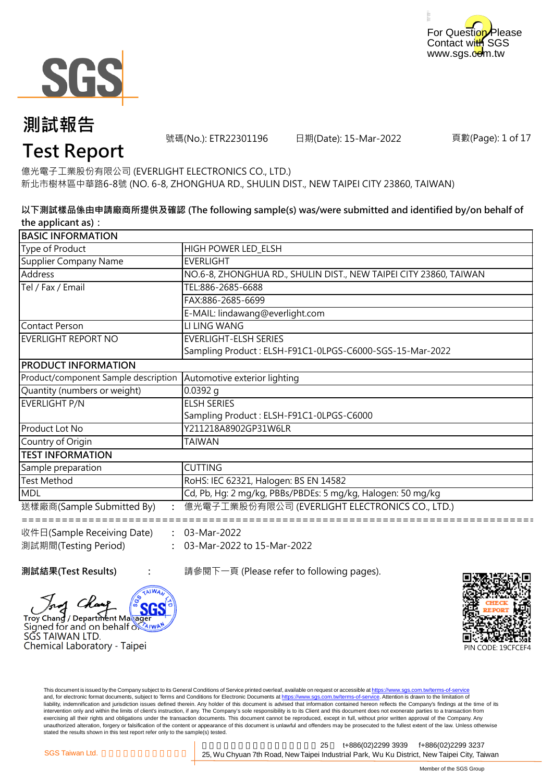



號碼(No.): ETR22301196 日期(Date): 15-Mar-2022

頁數(Page): 1 of 17

## **Test Report**

新北市樹林區中華路6-8號 (NO. 6-8, ZHONGHUA RD., SHULIN DIST., NEW TAIPEI CITY 23860, TAIWAN) 億光電子工業股份有限公司 (EVERLIGHT ELECTRONICS CO., LTD.)

#### **以下測試樣品係由申請廠商所提供及確認 (The following sample(s) was/were submitted and identified by/on behalf of the applicant as):**

| <b>BASIC INFORMATION</b>                                            |                                                                   |
|---------------------------------------------------------------------|-------------------------------------------------------------------|
| Type of Product                                                     | HIGH POWER LED_ELSH                                               |
| Supplier Company Name                                               | <b>EVERLIGHT</b>                                                  |
| Address                                                             | NO.6-8, ZHONGHUA RD., SHULIN DIST., NEW TAIPEI CITY 23860, TAIWAN |
| Tel / Fax / Email                                                   | TEL:886-2685-6688                                                 |
|                                                                     | FAX:886-2685-6699                                                 |
|                                                                     | E-MAIL: lindawang@everlight.com                                   |
| Contact Person                                                      | LI LING WANG                                                      |
| <b>EVERLIGHT REPORT NO</b>                                          | <b>EVERLIGHT-ELSH SERIES</b>                                      |
|                                                                     | Sampling Product: ELSH-F91C1-0LPGS-C6000-SGS-15-Mar-2022          |
| <b>PRODUCT INFORMATION</b>                                          |                                                                   |
| Product/component Sample description   Automotive exterior lighting |                                                                   |
| Quantity (numbers or weight)                                        | $0.0392$ g                                                        |
| EVERLIGHT P/N                                                       | <b>ELSH SERIES</b>                                                |
|                                                                     | Sampling Product: ELSH-F91C1-0LPGS-C6000                          |
| Product Lot No                                                      | Y211218A8902GP31W6LR                                              |
| Country of Origin                                                   | TAIWAN                                                            |
| <b>TEST INFORMATION</b>                                             |                                                                   |
| Sample preparation                                                  | <b>CUTTING</b>                                                    |
| <b>Test Method</b>                                                  | RoHS: IEC 62321, Halogen: BS EN 14582                             |
| <b>MDL</b>                                                          | Cd, Pb, Hg: 2 mg/kg, PBBs/PBDEs: 5 mg/kg, Halogen: 50 mg/kg       |
| 送樣廠商(Sample Submitted By)                                           | 億光電子工業股份有限公司 (EVERLIGHT ELECTRONICS CO., LTD.)                    |
| 收件日(Sample Receiving Date)                                          | $: 03-Mar-2022$                                                   |
| 測試期間(Testing Period)                                                | 03-Mar-2022 to 15-Mar-2022                                        |

**測試結果(Test Results) :** 請參閱下一頁 (Please refer to following pages).

١F Troy Chang / Department Makager Signed for and on behalf of AIWAN SĞS TAIWAN LTD. Chemical Laboratory - Taipei



This document is issued by the Company subject to its General Conditions of Service printed overleaf, available on request or accessible at https://www.sgs.com.tw/terms-of-service and, for electronic format documents, subject to Terms and Conditions for Electronic Documents at https://www.sgs.com.tw/terms-of-service. Attention is drawn to the limitation of liability, indemnification and jurisdiction issues defined therein. Any holder of this document is advised that information contained hereon reflects the Company's findings at the time of its intervention only and within the limits of client's instruction, if any. The Company's sole responsibility is to its Client and this document does not exonerate parties to a transaction from exercising all their rights and obligations under the transaction documents. This document cannot be reproduced, except in full, without prior written approval of the Company. Any<br>unauthorized alteration, forgery or falsif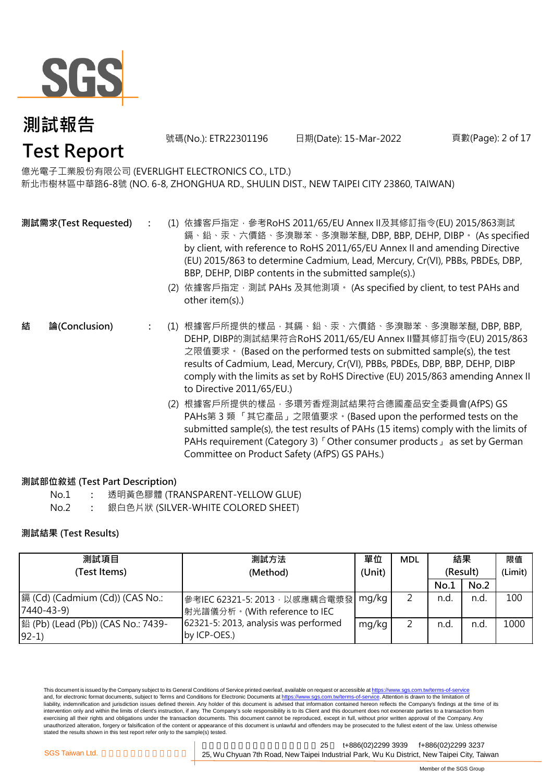

號碼(No.): ETR22301196 日期(Date): 15-Mar-2022

#### 頁數(Page): 2 of 17

#### 億光電子工業股份有限公司 (EVERLIGHT ELECTRONICS CO., LTD.)

新北市樹林區中華路6-8號 (NO. 6-8, ZHONGHUA RD., SHULIN DIST., NEW TAIPEI CITY 23860, TAIWAN)

- **測試需求(Test Requested)**
- **:** (1) 依據客戶指定,參考RoHS 2011/65/EU Annex II及其修訂指令(EU) 2015/863測試 鎘、鉛、汞、六價鉻、多溴聯苯、多溴聯苯醚, DBP, BBP, DEHP, DIBP。 (As specified by client, with reference to RoHS 2011/65/EU Annex II and amending Directive (EU) 2015/863 to determine Cadmium, Lead, Mercury, Cr(VI), PBBs, PBDEs, DBP, BBP, DEHP, DIBP contents in the submitted sample(s).)
	- (2) 依據客戶指定,測試 PAHs 及其他測項。 (As specified by client, to test PAHs and other item(s).)
- **:** (1) 根據客戶所提供的樣品,其鎘、鉛、汞、六價鉻、多溴聯苯、多溴聯苯醚, DBP, BBP, DEHP, DIBP的測試結果符合RoHS 2011/65/EU Annex II暨其修訂指令(EU) 2015/863 之限值要求。 (Based on the performed tests on submitted sample(s), the test results of Cadmium, Lead, Mercury, Cr(VI), PBBs, PBDEs, DBP, BBP, DEHP, DIBP comply with the limits as set by RoHS Directive (EU) 2015/863 amending Annex II to Directive 2011/65/EU.) **結 論(Conclusion)**
	- (2) 根據客戶所提供的樣品,多環芳香烴測試結果符合德國產品安全委員會(AfPS) GS PAHs第 3 類 「其它產品」之限值要求。(Based upon the performed tests on the submitted sample(s), the test results of PAHs (15 items) comply with the limits of PAHs requirement (Category 3) 「Other consumer products」 as set by German Committee on Product Safety (AfPS) GS PAHs.)

#### **測試部位敘述 (Test Part Description)**

- No.1 **:** 透明黃色膠體 (TRANSPARENT-YELLOW GLUE)
- No.2 **:** 銀白色片狀 (SILVER-WHITE COLORED SHEET)

#### **測試結果 (Test Results)**

| 測試項目                               | 測試方法                                  | 單位     | <b>MDL</b> | 結果       |      | 限值      |
|------------------------------------|---------------------------------------|--------|------------|----------|------|---------|
| (Test Items)                       | (Method)                              | (Unit) |            | (Result) |      | (Limit) |
|                                    |                                       |        |            | No.1     | No.2 |         |
| 鎘 (Cd) (Cadmium (Cd)) (CAS No.:    | 參考IEC 62321-5: 2013 · 以感應耦合電漿發        | mg/kg  |            | n.d.     | n.d  | 100     |
| $7440 - 43 - 9$                    | 射光譜儀分析。(With reference to IEC         |        |            |          |      |         |
| 銟 (Pb) (Lead (Pb)) (CAS No.: 7439- | 62321-5: 2013, analysis was performed | mg/kg  |            | n.d.     | n.d  | 1000    |
| $92-1)$                            | by ICP-OES.)                          |        |            |          |      |         |

This document is issued by the Company subject to its General Conditions of Service printed overleaf, available on request or accessible at https://www.sgs.com.tw/terms-of-service and, for electronic format documents, subject to Terms and Conditions for Electronic Documents at https://www.sgs.com.tw/terms-of-service. Attention is drawn to the limitation of liability, indemnification and jurisdiction issues defined therein. Any holder of this document is advised that information contained hereon reflects the Company's findings at the time of its intervention only and within the limits of client's instruction, if any. The Company's sole responsibility is to its Client and this document does not exonerate parties to a transaction from exercising all their rights and obligations under the transaction documents. This document cannot be reproduced, except in full, without prior written approval of the Company. Any unauthorized alteration, forgery or falsification of the content or appearance of this document is unlawful and offenders may be prosecuted to the fullest extent of the law. Unless otherwise stated the results shown in this test report refer only to the sample(s) tested.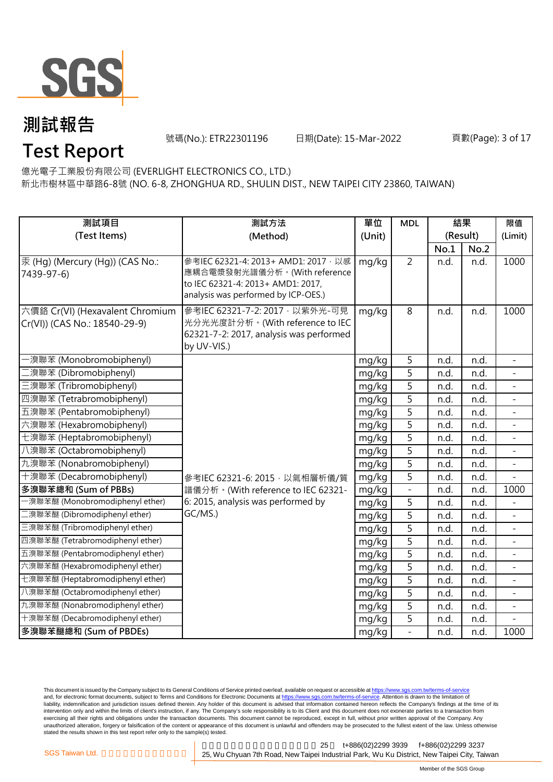

號碼(No.): ETR22301196 日期(Date): 15-Mar-2022

## **Test Report**

億光電子工業股份有限公司 (EVERLIGHT ELECTRONICS CO., LTD.)

新北市樹林區中華路6-8號 (NO. 6-8, ZHONGHUA RD., SHULIN DIST., NEW TAIPEI CITY 23860, TAIWAN)

| 測試項目                             | 測試方法                                                              | 單位     | <b>MDL</b>     | 結果       |      | 限值                       |
|----------------------------------|-------------------------------------------------------------------|--------|----------------|----------|------|--------------------------|
| (Test Items)                     | (Method)                                                          | (Unit) |                | (Result) |      | (Limit)                  |
|                                  |                                                                   |        |                | No.1     | No.2 |                          |
| 汞 (Hg) (Mercury (Hg)) (CAS No.:  | 參考IEC 62321-4: 2013+ AMD1: 2017 · 以感                              | mg/kg  | $\overline{2}$ | n.d.     | n.d. | 1000                     |
| 7439-97-6)                       | 應耦合電漿發射光譜儀分析。(With reference<br>to IEC 62321-4: 2013+ AMD1: 2017, |        |                |          |      |                          |
|                                  | analysis was performed by ICP-OES.)                               |        |                |          |      |                          |
| 六價鉻 Cr(VI) (Hexavalent Chromium  | 參考IEC 62321-7-2: 2017 · 以紫外光-可見                                   | mg/kg  | 8              | n.d.     | n.d. | 1000                     |
| Cr(VI)) (CAS No.: 18540-29-9)    | 光分光光度計分析。(With reference to IEC                                   |        |                |          |      |                          |
|                                  | 62321-7-2: 2017, analysis was performed<br>by UV-VIS.)            |        |                |          |      |                          |
| -溴聯苯 (Monobromobiphenyl)         |                                                                   | mg/kg  | 5              | n.d.     | n.d. | $\equiv$                 |
| 二溴聯苯 (Dibromobiphenyl)           |                                                                   | mg/kg  | $\overline{5}$ | n.d.     | n.d. |                          |
| 三溴聯苯 (Tribromobiphenyl)          |                                                                   | mg/kg  | 5              | n.d.     | n.d. |                          |
| 四溴聯苯 (Tetrabromobiphenyl)        |                                                                   | mg/kg  | $\overline{5}$ | n.d.     | n.d. | $\overline{\phantom{a}}$ |
| 五溴聯苯 (Pentabromobiphenyl)        |                                                                   | mg/kg  | 5              | n.d.     | n.d. | $\overline{\phantom{a}}$ |
| 六溴聯苯 (Hexabromobiphenyl)         |                                                                   | mg/kg  | 5              | n.d.     | n.d. |                          |
| 七溴聯苯 (Heptabromobiphenyl)        |                                                                   | mg/kg  | 5              | n.d.     | n.d. |                          |
| 八溴聯苯 (Octabromobiphenyl)         |                                                                   | mg/kg  | 5              | n.d.     | n.d. |                          |
| 九溴聯苯 (Nonabromobiphenyl)         |                                                                   | mg/kg  | 5              | n.d.     | n.d. |                          |
| 十溴聯苯 (Decabromobiphenyl)         | 參考IEC 62321-6: 2015, 以氣相層析儀/質                                     | mg/kg  | 5              | n.d.     | n.d. |                          |
| 多溴聯苯總和 (Sum of PBBs)             | 譜儀分析。(With reference to IEC 62321-                                | mg/kg  | $\Box$         | n.d.     | n.d. | 1000                     |
| -溴聯苯醚 (Monobromodiphenyl ether)  | 6: 2015, analysis was performed by                                | mg/kg  | $\overline{5}$ | n.d.     | n.d. |                          |
| 二溴聯苯醚 (Dibromodiphenyl ether)    | GC/MS.)                                                           | mg/kg  | $\overline{5}$ | n.d.     | n.d. |                          |
| 三溴聯苯醚 (Tribromodiphenyl ether)   |                                                                   | mg/kg  | $\overline{5}$ | n.d.     | n.d. |                          |
| 四溴聯苯醚 (Tetrabromodiphenyl ether) |                                                                   | mg/kg  | $\overline{5}$ | n.d.     | n.d. |                          |
| 五溴聯苯醚 (Pentabromodiphenyl ether) |                                                                   | mg/kg  | $\overline{5}$ | n.d.     | n.d. |                          |
| 六溴聯苯醚 (Hexabromodiphenyl ether)  |                                                                   | mg/kg  | 5              | n.d.     | n.d. |                          |
| 七溴聯苯醚 (Heptabromodiphenyl ether) |                                                                   | mg/kg  | 5              | n.d.     | n.d. | $\overline{\phantom{a}}$ |
| 八溴聯苯醚 (Octabromodiphenyl ether)  |                                                                   | mg/kg  | $\overline{5}$ | n.d.     | n.d. | $\equiv$                 |
| 九溴聯苯醚 (Nonabromodiphenyl ether)  |                                                                   | mg/kg  | $\overline{5}$ | n.d.     | n.d. | $\overline{a}$           |
| 十溴聯苯醚 (Decabromodiphenyl ether)  |                                                                   | mg/kg  | 5              | n.d.     | n.d. |                          |
| 多溴聯苯醚總和 (Sum of PBDEs)           |                                                                   | mg/kg  | $\Box$         | n.d.     | n.d. | 1000                     |

This document is issued by the Company subject to its General Conditions of Service printed overleaf, available on request or accessible at <u>https://www.sgs.com.tw/terms-of-service</u><br>and, for electronic format documents, su liability, indemnification and jurisdiction issues defined therein. Any holder of this document is advised that information contained hereon reflects the Company's findings at the time of its intervention only and within the limits of client's instruction, if any. The Company's sole responsibility is to its Client and this document does not exonerate parties to a transaction from exercising all their rights and obligations under the transaction documents. This document cannot be reproduced, except in full, without prior written approval of the Company. Any<br>unauthorized alteration, forgery or falsif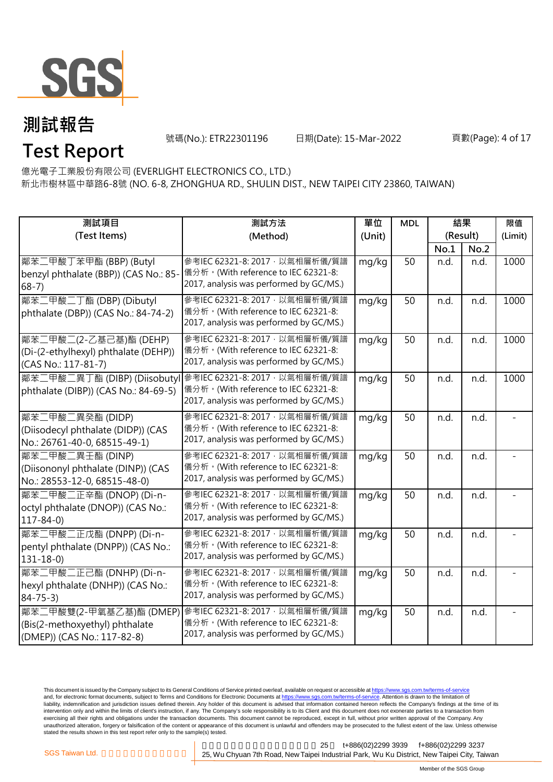

號碼(No.): ETR22301196 日期(Date): 15-Mar-2022

#### 頁數(Page): 4 of 17

**Test Report**

億光電子工業股份有限公司 (EVERLIGHT ELECTRONICS CO., LTD.)

新北市樹林區中華路6-8號 (NO. 6-8, ZHONGHUA RD., SHULIN DIST., NEW TAIPEI CITY 23860, TAIWAN)

| 測試項目                                                                                     | 測試方法                                                                                                              | 單位     | <b>MDL</b> | 結果       |      | 限值      |
|------------------------------------------------------------------------------------------|-------------------------------------------------------------------------------------------------------------------|--------|------------|----------|------|---------|
| (Test Items)                                                                             | (Method)                                                                                                          | (Unit) |            | (Result) |      | (Limit) |
|                                                                                          |                                                                                                                   |        |            | No.1     | No.2 |         |
| 鄰苯二甲酸丁苯甲酯 (BBP) (Butyl<br>benzyl phthalate (BBP)) (CAS No.: 85-<br>$68 - 7$ )            | 參考IEC 62321-8: 2017, 以氣相層析儀/質譜<br>儀分析。(With reference to IEC 62321-8:<br>2017, analysis was performed by GC/MS.)  | mg/kg  | 50         | n.d.     | n.d. | 1000    |
| 鄰苯二甲酸二丁酯 (DBP) (Dibutyl<br>phthalate (DBP)) (CAS No.: 84-74-2)                           | 參考IEC 62321-8: 2017, 以氣相層析儀/質譜<br>儀分析。(With reference to IEC 62321-8:<br>2017, analysis was performed by GC/MS.)  | mg/kg  | 50         | n.d.     | n.d. | 1000    |
| 鄰苯二甲酸二(2-乙基己基)酯 (DEHP)<br>(Di-(2-ethylhexyl) phthalate (DEHP))<br>(CAS No.: 117-81-7)    | 參考IEC 62321-8: 2017, 以氣相層析儀/質譜<br>儀分析。(With reference to IEC 62321-8:<br>2017, analysis was performed by GC/MS.)  | mg/kg  | 50         | n.d.     | n.d. | 1000    |
| 鄰苯二甲酸二異丁酯 (DIBP) (Diisobutyl<br>phthalate (DIBP)) (CAS No.: 84-69-5)                     | 參考IEC 62321-8: 2017 · 以氣相層析儀/質譜<br>儀分析。(With reference to IEC 62321-8:<br>2017, analysis was performed by GC/MS.) | mg/kg  | 50         | n.d.     | n.d. | 1000    |
| 鄰苯二甲酸二異癸酯 (DIDP)<br>(Diisodecyl phthalate (DIDP)) (CAS<br>No.: 26761-40-0, 68515-49-1)   | 參考IEC 62321-8: 2017, 以氣相層析儀/質譜<br>儀分析。(With reference to IEC 62321-8:<br>2017, analysis was performed by GC/MS.)  | mg/kg  | 50         | n.d.     | n.d. |         |
| 鄰苯二甲酸二異壬酯 (DINP)<br>(Diisononyl phthalate (DINP)) (CAS<br>No.: 28553-12-0, 68515-48-0)   | 參考IEC 62321-8: 2017, 以氣相層析儀/質譜<br>儀分析。(With reference to IEC 62321-8:<br>2017, analysis was performed by GC/MS.)  | mg/kg  | 50         | n.d.     | n.d. |         |
| 鄰苯二甲酸二正辛酯 (DNOP) (Di-n-<br>octyl phthalate (DNOP)) (CAS No.:<br>$117 - 84 - 0$           | 參考IEC 62321-8: 2017, 以氣相層析儀/質譜<br>儀分析。(With reference to IEC 62321-8:<br>2017, analysis was performed by GC/MS.)  | mg/kg  | 50         | n.d.     | n.d. |         |
| 鄰苯二甲酸二正戊酯 (DNPP) (Di-n-<br>pentyl phthalate (DNPP)) (CAS No.:<br>$131 - 18 - 0$          | 參考IEC 62321-8: 2017, 以氣相層析儀/質譜<br>儀分析。(With reference to IEC 62321-8:<br>2017, analysis was performed by GC/MS.)  | mg/kg  | 50         | n.d.     | n.d. |         |
| 鄰苯二甲酸二正己酯 (DNHP) (Di-n-<br>hexyl phthalate (DNHP)) (CAS No.:<br>$84 - 75 - 3$            | 參考IEC 62321-8: 2017, 以氣相層析儀/質譜<br>儀分析。(With reference to IEC 62321-8:<br>2017, analysis was performed by GC/MS.)  | mg/kg  | 50         | n.d.     | n.d. |         |
| 鄰苯二甲酸雙(2-甲氧基乙基)酯 (DMEP)<br>(Bis(2-methoxyethyl) phthalate<br>(DMEP)) (CAS No.: 117-82-8) | 參考IEC 62321-8: 2017, 以氣相層析儀/質譜<br>儀分析。(With reference to IEC 62321-8:<br>2017, analysis was performed by GC/MS.)  | mg/kg  | 50         | n.d.     | n.d. |         |

This document is issued by the Company subject to its General Conditions of Service printed overleaf, available on request or accessible at <u>https://www.sgs.com.tw/terms-of-service</u><br>and, for electronic format documents, su liability, indemnification and jurisdiction issues defined therein. Any holder of this document is advised that information contained hereon reflects the Company's findings at the time of its intervention only and within the limits of client's instruction, if any. The Company's sole responsibility is to its Client and this document does not exonerate parties to a transaction from exercising all their rights and obligations under the transaction documents. This document cannot be reproduced, except in full, without prior written approval of the Company. Any<br>unauthorized alteration, forgery or falsif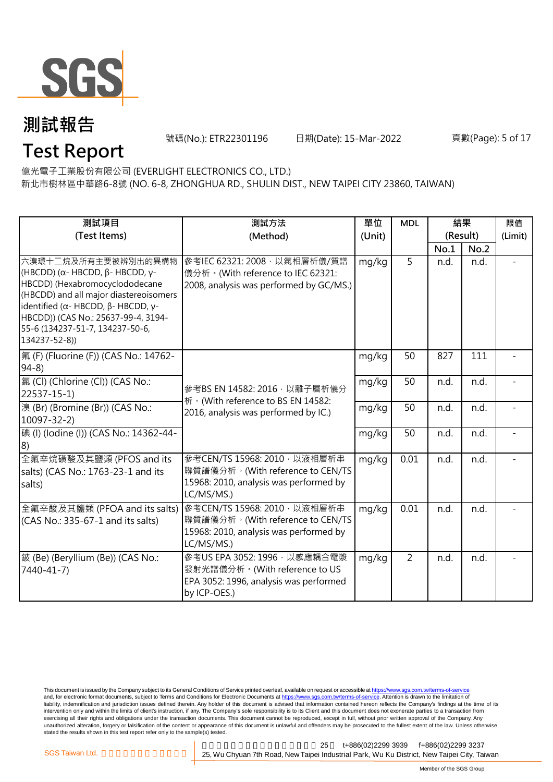

號碼(No.): ETR22301196 日期(Date): 15-Mar-2022

#### 頁數(Page): 5 of 17

**Test Report**

億光電子工業股份有限公司 (EVERLIGHT ELECTRONICS CO., LTD.)

新北市樹林區中華路6-8號 (NO. 6-8, ZHONGHUA RD., SHULIN DIST., NEW TAIPEI CITY 23860, TAIWAN)

| 測試項目                                                                                                                                                                                                                                                                                                           | 測試方法                                                                                                                     | 單位     | <b>MDL</b>     | 結果       |      | 限值      |
|----------------------------------------------------------------------------------------------------------------------------------------------------------------------------------------------------------------------------------------------------------------------------------------------------------------|--------------------------------------------------------------------------------------------------------------------------|--------|----------------|----------|------|---------|
| (Test Items)                                                                                                                                                                                                                                                                                                   | (Method)                                                                                                                 | (Unit) |                | (Result) |      | (Limit) |
|                                                                                                                                                                                                                                                                                                                |                                                                                                                          |        |                | No.1     | No.2 |         |
| 六溴環十二烷及所有主要被辨別出的異構物<br>(HBCDD) ( $\alpha$ - HBCDD, $\beta$ - HBCDD, γ-<br>HBCDD) (Hexabromocyclododecane<br>(HBCDD) and all major diastereoisomers<br>identified ( $\alpha$ - HBCDD, $\beta$ - HBCDD, $\gamma$ -<br>HBCDD)) (CAS No.: 25637-99-4, 3194-<br>55-6 (134237-51-7, 134237-50-6,<br>$134237 - 52-8)$ | 參考IEC 62321: 2008, 以氣相層析儀/質譜<br>儀分析。(With reference to IEC 62321:<br>2008, analysis was performed by GC/MS.)             | mg/kg  | $\overline{5}$ | n.d.     | n.d. |         |
| 氟 (F) (Fluorine (F)) (CAS No.: 14762-<br>$94-8$                                                                                                                                                                                                                                                                |                                                                                                                          | mg/kg  | 50             | 827      | 111  |         |
| 氯(Cl) (Chlorine (Cl)) (CAS No.:<br>$22537 - 15 - 1$                                                                                                                                                                                                                                                            | 參考BS EN 14582: 2016, 以離子層析儀分<br>析 · (With reference to BS EN 14582:                                                      | mg/kg  | 50             | n.d.     | n.d. |         |
| 溴 (Br) (Bromine (Br)) (CAS No.:<br>10097-32-2)                                                                                                                                                                                                                                                                 | mg/kg<br>2016, analysis was performed by IC.)<br>mg/kg                                                                   |        | 50             | n.d.     | n.d. |         |
| 碘 (I) (Iodine (I)) (CAS No.: 14362-44-<br>8)                                                                                                                                                                                                                                                                   |                                                                                                                          |        | 50             | n.d.     | n.d. |         |
| 全氟辛烷磺酸及其鹽類 (PFOS and its<br>salts) (CAS No.: 1763-23-1 and its<br>salts)                                                                                                                                                                                                                                       | 參考CEN/TS 15968: 2010, 以液相層析串<br>聯質譜儀分析。(With reference to CEN/TS<br>15968: 2010, analysis was performed by<br>LC/MS/MS.) | mg/kg  | 0.01           | n.d.     | n.d. |         |
| 全氟辛酸及其鹽類 (PFOA and its salts)<br>(CAS No.: 335-67-1 and its salts)                                                                                                                                                                                                                                             | 參考CEN/TS 15968: 2010, 以液相層析串<br>聯質譜儀分析。(With reference to CEN/TS<br>15968: 2010, analysis was performed by<br>LC/MS/MS.) | mg/kg  | 0.01           | n.d.     | n.d. |         |
| 鈹 (Be) (Beryllium (Be)) (CAS No.:<br>7440-41-7)                                                                                                                                                                                                                                                                | 參考US EPA 3052: 1996, 以感應耦合電漿<br>發射光譜儀分析。(With reference to US<br>EPA 3052: 1996, analysis was performed<br>by ICP-OES.)  | mg/kg  | 2              | n.d.     | n.d. |         |

This document is issued by the Company subject to its General Conditions of Service printed overleaf, available on request or accessible at <u>https://www.sgs.com.tw/terms-of-service</u><br>and, for electronic format documents, su liability, indemnification and jurisdiction issues defined therein. Any holder of this document is advised that information contained hereon reflects the Company's findings at the time of its intervention only and within the limits of client's instruction, if any. The Company's sole responsibility is to its Client and this document does not exonerate parties to a transaction from exercising all their rights and obligations under the transaction documents. This document cannot be reproduced, except in full, without prior written approval of the Company. Any<br>unauthorized alteration, forgery or falsif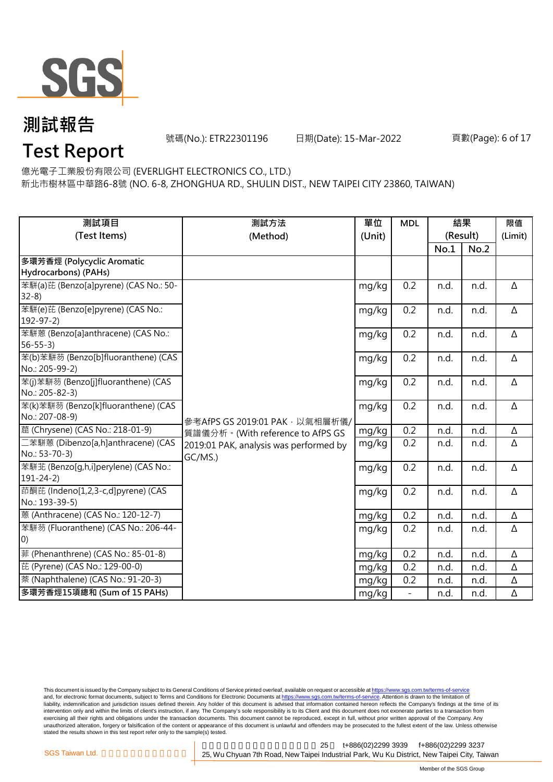

號碼(No.): ETR22301196 日期(Date): 15-Mar-2022

#### 頁數(Page): 6 of 17

**Test Report** 億光電子工業股份有限公司 (EVERLIGHT ELECTRONICS CO., LTD.)

新北市樹林區中華路6-8號 (NO. 6-8, ZHONGHUA RD., SHULIN DIST., NEW TAIPEI CITY 23860, TAIWAN)

| 測試項目                                                    | 測試方法                                                               | 單位     | <b>MDL</b>               | 結果       |      | 限值       |
|---------------------------------------------------------|--------------------------------------------------------------------|--------|--------------------------|----------|------|----------|
| (Test Items)                                            | (Method)                                                           | (Unit) |                          | (Result) |      | (Limit)  |
|                                                         |                                                                    |        |                          | No.1     | No.2 |          |
| 多環芳香烴 (Polycyclic Aromatic                              |                                                                    |        |                          |          |      |          |
| Hydrocarbons) (PAHs)                                    |                                                                    |        |                          |          |      |          |
| 苯駢(a)芘 (Benzo[a]pyrene) (CAS No.: 50-<br>$32-8$         |                                                                    | mg/kg  | 0.2                      | n.d.     | n.d. | Δ        |
| 苯駢(e)芘 (Benzo[e]pyrene) (CAS No.:                       |                                                                    | mg/kg  | 0.2                      | n.d.     | n.d. | Δ        |
| $192 - 97 - 2$                                          |                                                                    |        |                          |          |      |          |
| 苯駢蒽 (Benzo[a]anthracene) (CAS No.:<br>$56 - 55 - 3$     |                                                                    | mg/kg  | 0.2                      | n.d.     | n.d. | Δ        |
| 苯(b)苯駢芴 (Benzo[b]fluoranthene) (CAS<br>No.: 205-99-2)   |                                                                    | mg/kg  | 0.2                      | n.d.     | n.d. | Δ        |
| 苯(j)苯駢芴 (Benzo[j]fluoranthene) (CAS<br>No.: 205-82-3)   |                                                                    | mg/kg  | 0.2                      | n.d.     | n.d. | Δ        |
| 苯(k)苯駢芴 (Benzo[k]fluoranthene) (CAS<br>No.: 207-08-9)   |                                                                    | mg/kg  | 0.2                      | n.d.     | n.d. | Δ        |
| 蔰 (Chrysene) (CAS No.: 218-01-9)                        | 參考AfPS GS 2019:01 PAK, 以氣相層析儀/<br>質譜儀分析。(With reference to AfPS GS | mg/kg  | 0.2                      | n.d.     | n.d. | Δ        |
| 二苯駢蒽 (Dibenzo[a,h]anthracene) (CAS<br>No.: 53-70-3)     | 2019:01 PAK, analysis was performed by<br>GC/MS.)                  | mg/kg  | 0.2                      | n.d.     | n.d. | Δ        |
| 苯駢芷 (Benzo[g,h,i]perylene) (CAS No.:<br>$191 - 24 - 2)$ |                                                                    | mg/kg  | 0.2                      | n.d.     | n.d. | $\Delta$ |
| 茚酮芘 (Indeno[1,2,3-c,d]pyrene) (CAS<br>No.: 193-39-5)    |                                                                    | mg/kg  | 0.2                      | n.d.     | n.d. | Δ        |
| 蒽 (Anthracene) (CAS No.: 120-12-7)                      |                                                                    | mg/kg  | 0.2                      | n.d.     | n.d. | Δ        |
| 苯駢芴 (Fluoranthene) (CAS No.: 206-44-                    |                                                                    | mg/kg  | 0.2                      | n.d.     | n.d. | Δ        |
| $ 0\rangle$                                             |                                                                    |        |                          |          |      |          |
| 菲 (Phenanthrene) (CAS No.: 85-01-8)                     |                                                                    | mg/kg  | 0.2                      | n.d.     | n.d. | Δ        |
| 芘 (Pyrene) (CAS No.: 129-00-0)                          |                                                                    | mg/kg  | 0.2                      | n.d.     | n.d. | Δ        |
| 禁 (Naphthalene) (CAS No.: 91-20-3)                      |                                                                    | mg/kg  | 0.2                      | n.d.     | n.d. | Δ        |
| 多環芳香烴15項總和 (Sum of 15 PAHs)                             |                                                                    | mg/kg  | $\overline{\phantom{a}}$ | n.d.     | n.d. | Δ        |

This document is issued by the Company subject to its General Conditions of Service printed overleaf, available on request or accessible at <u>https://www.sgs.com.tw/terms-of-service</u><br>and, for electronic format documents, su liability, indemnification and jurisdiction issues defined therein. Any holder of this document is advised that information contained hereon reflects the Company's findings at the time of its intervention only and within the limits of client's instruction, if any. The Company's sole responsibility is to its Client and this document does not exonerate parties to a transaction from exercising all their rights and obligations under the transaction documents. This document cannot be reproduced, except in full, without prior written approval of the Company. Any<br>unauthorized alteration, forgery or falsif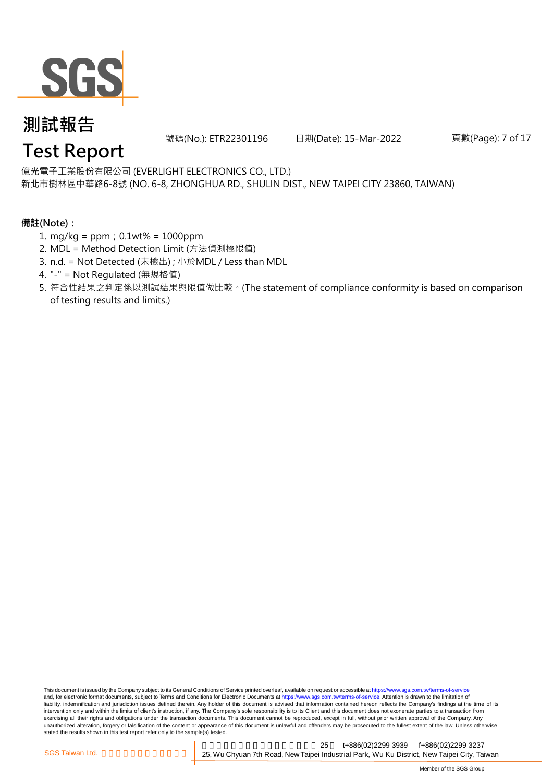

號碼(No.): ETR22301196 日期(Date): 15-Mar-2022

頁數(Page): 7 of 17

## **Test Report**

新北市樹林區中華路6-8號 (NO. 6-8, ZHONGHUA RD., SHULIN DIST., NEW TAIPEI CITY 23860, TAIWAN) 億光電子工業股份有限公司 (EVERLIGHT ELECTRONICS CO., LTD.)

#### **備註(Note):**

- 1. mg/kg = ppm;0.1wt% = 1000ppm
- 2. MDL = Method Detection Limit (方法偵測極限值)
- 3. n.d. = Not Detected (未檢出) ; 小於MDL / Less than MDL
- 4. "-" = Not Regulated (無規格值)
- 5. 符合性結果之判定係以測試結果與限值做比較。(The statement of compliance conformity is based on comparison of testing results and limits.)

This document is issued by the Company subject to its General Conditions of Service printed overleaf, available on request or accessible at https://www.sgs.com.tw/terms-of-service and, for electronic format documents, subject to Terms and Conditions for Electronic Documents at https://www.sgs.com.tw/terms-of-service. Attention is drawn to the limitation of liability, indemnification and jurisdiction issues defined therein. Any holder of this document is advised that information contained hereon reflects the Company's findings at the time of its intervention only and within the limits of client's instruction, if any. The Company's sole responsibility is to its Client and this document does not exonerate parties to a transaction from exercising all their rights and obligations under the transaction documents. This document cannot be reproduced, except in full, without prior written approval of the Company. Any<br>unauthorized alteration, forgery or falsif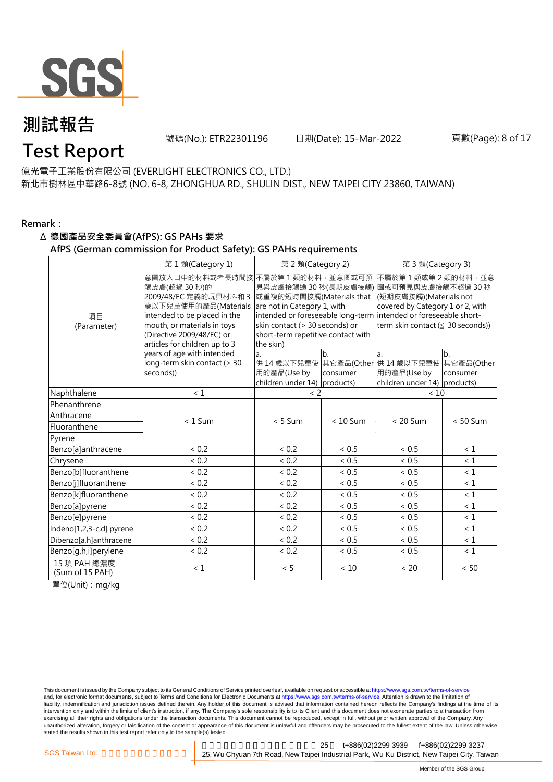

號碼(No.): ETR22301196 日期(Date): 15-Mar-2022

#### 頁數(Page): 8 of 17

## **Test Report**

新北市樹林區中華路6-8號 (NO. 6-8, ZHONGHUA RD., SHULIN DIST., NEW TAIPEI CITY 23860, TAIWAN) 億光電子工業股份有限公司 (EVERLIGHT ELECTRONICS CO., LTD.)

#### **Remark:**

#### Δ **德國產品安全委員會(AfPS): GS PAHs 要求**

**AfPS (German commission for Product Safety): GS PAHs requirements**

|                                 | 第1類(Category 1)                                                                                                                                                                            | 第 2 類(Category 2)                                                                                                                                                                                                                                                                |                | 第 3 類(Category 3)                                                                                                                         |                |  |
|---------------------------------|--------------------------------------------------------------------------------------------------------------------------------------------------------------------------------------------|----------------------------------------------------------------------------------------------------------------------------------------------------------------------------------------------------------------------------------------------------------------------------------|----------------|-------------------------------------------------------------------------------------------------------------------------------------------|----------------|--|
| 項目<br>(Parameter)               | 觸皮膚(超過 30秒)的<br>2009/48/EC 定義的玩具材料和 3<br>歲以下兒童使用的產品(Materials<br>intended to be placed in the<br>mouth, or materials in toys<br>(Directive 2009/48/EC) or<br>articles for children up to 3 | 意圖放入口中的材料或者長時間接 不屬於第 1 類的材料 · 並意圖或可預<br>見與皮膚接觸逾 30 秒(長期皮膚接觸)<br>或重複的短時間接觸(Materials that<br>are not in Category 1, with<br>intended or foreseeable long-term intended or foreseeable short-<br>skin contact (> 30 seconds) or<br>short-term repetitive contact with<br>the skin) |                | 不屬於第1類或第2類的材料,並意<br>圖或可預見與皮膚接觸不超過 30 秒<br>(短期皮膚接觸)(Materials not<br>covered by Category 1 or 2, with<br>term skin contact (≤ 30 seconds)) |                |  |
|                                 | years of age with intended<br>long-term skin contact (> 30<br>seconds))                                                                                                                    | a.<br>用的產品(Use by<br>children under 14) products)                                                                                                                                                                                                                                | b.<br>consumer | a.<br>供 14 歳以下兒童使 其它產品(Other 供 14 歳以下兒童使 其它產品(Other<br>用的產品(Use by<br>children under 14) products)                                        | b.<br>consumer |  |
| Naphthalene                     | $\leq 1$                                                                                                                                                                                   | < 2                                                                                                                                                                                                                                                                              |                | < 10                                                                                                                                      |                |  |
| Phenanthrene                    |                                                                                                                                                                                            |                                                                                                                                                                                                                                                                                  |                |                                                                                                                                           |                |  |
| Anthracene                      | $< 1$ Sum                                                                                                                                                                                  | $< 5$ Sum                                                                                                                                                                                                                                                                        | $< 10$ Sum     | $< 20$ Sum                                                                                                                                | $< 50$ Sum     |  |
| Fluoranthene                    |                                                                                                                                                                                            |                                                                                                                                                                                                                                                                                  |                |                                                                                                                                           |                |  |
| Pyrene                          |                                                                                                                                                                                            |                                                                                                                                                                                                                                                                                  |                |                                                                                                                                           |                |  |
| Benzo[a]anthracene              | < 0.2                                                                                                                                                                                      | < 0.2                                                                                                                                                                                                                                                                            | < 0.5          | ~< 0.5                                                                                                                                    | $\leq 1$       |  |
| Chrysene                        | < 0.2                                                                                                                                                                                      | < 0.2                                                                                                                                                                                                                                                                            | < 0.5          | < 0.5                                                                                                                                     | $\leq 1$       |  |
| Benzo[b]fluoranthene            | < 0.2                                                                                                                                                                                      | < 0.2                                                                                                                                                                                                                                                                            | < 0.5          | < 0.5                                                                                                                                     | $\leq 1$       |  |
| Benzo[j]fluoranthene            | < 0.2                                                                                                                                                                                      | < 0.2                                                                                                                                                                                                                                                                            | < 0.5          | < 0.5                                                                                                                                     | $\leq 1$       |  |
| Benzo[k]fluoranthene            | < 0.2                                                                                                                                                                                      | ${}< 0.2$                                                                                                                                                                                                                                                                        | < 0.5          | ${}< 0.5$                                                                                                                                 | $\leq 1$       |  |
| Benzo[a]pyrene                  | < 0.2                                                                                                                                                                                      | < 0.2                                                                                                                                                                                                                                                                            | < 0.5          | ~< 0.5                                                                                                                                    | $\leq 1$       |  |
| Benzo[e]pyrene                  | < 0.2                                                                                                                                                                                      | < 0.2                                                                                                                                                                                                                                                                            | < 0.5          | ~< 0.5                                                                                                                                    | $\leq 1$       |  |
| Indeno[1,2,3-c,d] pyrene        | < 0.2                                                                                                                                                                                      | < 0.2                                                                                                                                                                                                                                                                            | < 0.5          | ~< 0.5                                                                                                                                    | $\leq 1$       |  |
| Dibenzo[a,h]anthracene          | < 0.2                                                                                                                                                                                      | < 0.2                                                                                                                                                                                                                                                                            | ~< 0.5         | ~< 0.5                                                                                                                                    | $\leq 1$       |  |
| Benzo[g,h,i]perylene            | < 0.2                                                                                                                                                                                      | < 0.2                                                                                                                                                                                                                                                                            | ~< 0.5         | ~< 0.5                                                                                                                                    | $\leq 1$       |  |
| 15 項 PAH 總濃度<br>(Sum of 15 PAH) | $\leq 1$                                                                                                                                                                                   | < 5                                                                                                                                                                                                                                                                              | < 10           | < 20                                                                                                                                      | < 50           |  |

單位(Unit):mg/kg

This document is issued by the Company subject to its General Conditions of Service printed overleaf, available on request or accessible at <u>https://www.sgs.com.tw/terms-of-service</u><br>and, for electronic format documents, su liability, indemnification and jurisdiction issues defined therein. Any holder of this document is advised that information contained hereon reflects the Company's findings at the time of its intervention only and within the limits of client's instruction, if any. The Company's sole responsibility is to its Client and this document does not exonerate parties to a transaction from exercising all their rights and obligations under the transaction documents. This document cannot be reproduced, except in full, without prior written approval of the Company. Any<br>unauthorized alteration, forgery or falsif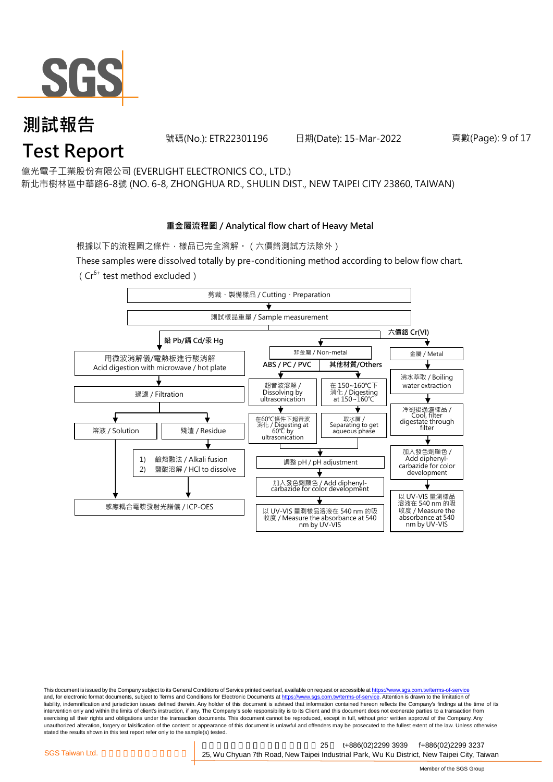

號碼(No.): ETR22301196 日期(Date): 15-Mar-2022

#### 頁數(Page): 9 of 17

億光電子工業股份有限公司 (EVERLIGHT ELECTRONICS CO., LTD.)

新北市樹林區中華路6-8號 (NO. 6-8, ZHONGHUA RD., SHULIN DIST., NEW TAIPEI CITY 23860, TAIWAN)

#### **重金屬流程圖 / Analytical flow chart of Heavy Metal**

根據以下的流程圖之條件,樣品已完全溶解。(六價鉻測試方法除外)

These samples were dissolved totally by pre-conditioning method according to below flow chart.

( $Cr^{6+}$  test method excluded)



This document is issued by the Company subject to its General Conditions of Service printed overleaf, available on request or accessible at https://www.sgs.com.tw/terms-of-service and, for electronic format documents, subject to Terms and Conditions for Electronic Documents at https://www.sgs.com.tw/terms-of-service. Attention is drawn to the limitation of liability, indemnification and jurisdiction issues defined therein. Any holder of this document is advised that information contained hereon reflects the Company's findings at the time of its intervention only and within the limits of client's instruction, if any. The Company's sole responsibility is to its Client and this document does not exonerate parties to a transaction from exercising all their rights and obligations under the transaction documents. This document cannot be reproduced, except in full, without prior written approval of the Company. Any<br>unauthorized alteration, forgery or falsif stated the results shown in this test report refer only to the sample(s) tested.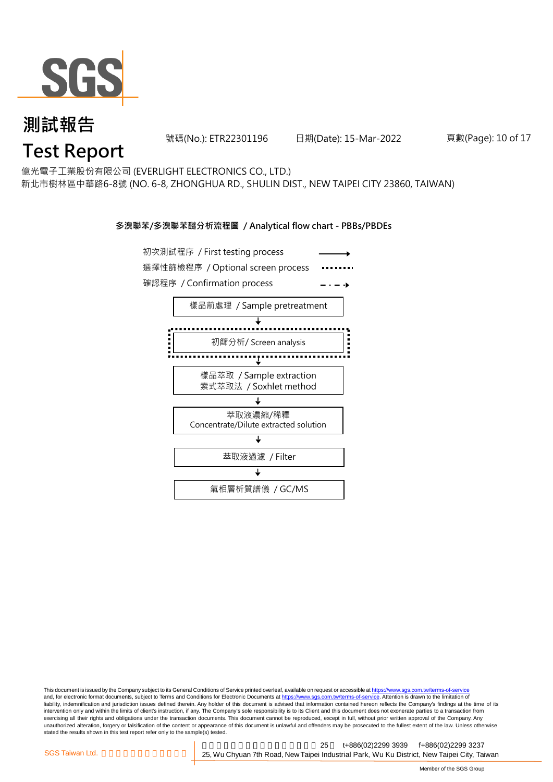

號碼(No.): ETR22301196 日期(Date): 15-Mar-2022

頁數(Page): 10 of 17

億光電子工業股份有限公司 (EVERLIGHT ELECTRONICS CO., LTD.)

新北市樹林區中華路6-8號 (NO. 6-8, ZHONGHUA RD., SHULIN DIST., NEW TAIPEI CITY 23860, TAIWAN)

#### **多溴聯苯/多溴聯苯醚分析流程圖 / Analytical flow chart - PBBs/PBDEs**



This document is issued by the Company subject to its General Conditions of Service printed overleaf, available on request or accessible at https://www.sgs.com.tw/terms-of-service and, for electronic format documents, subject to Terms and Conditions for Electronic Documents at https://www.sgs.com.tw/terms-of-service. Attention is drawn to the limitation of liability, indemnification and jurisdiction issues defined therein. Any holder of this document is advised that information contained hereon reflects the Company's findings at the time of its intervention only and within the limits of client's instruction, if any. The Company's sole responsibility is to its Client and this document does not exonerate parties to a transaction from exercising all their rights and obligations under the transaction documents. This document cannot be reproduced, except in full, without prior written approval of the Company. Any<br>unauthorized alteration, forgery or falsif stated the results shown in this test report refer only to the sample(s) tested.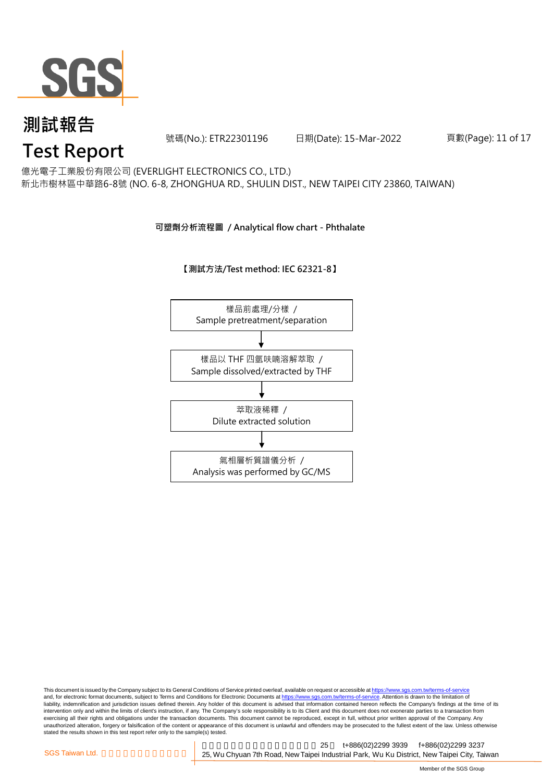

號碼(No.): ETR22301196 日期(Date): 15-Mar-2022

頁數(Page): 11 of 17

## **Test Report**

新北市樹林區中華路6-8號 (NO. 6-8, ZHONGHUA RD., SHULIN DIST., NEW TAIPEI CITY 23860, TAIWAN) 億光電子工業股份有限公司 (EVERLIGHT ELECTRONICS CO., LTD.)

#### **可塑劑分析流程圖 / Analytical flow chart - Phthalate**

**【測試方法/Test method: IEC 62321-8】**



This document is issued by the Company subject to its General Conditions of Service printed overleaf, available on request or accessible at <u>https://www.sgs.com.tw/terms-of-service</u><br>and, for electronic format documents, su liability, indemnification and jurisdiction issues defined therein. Any holder of this document is advised that information contained hereon reflects the Company's findings at the time of its intervention only and within the limits of client's instruction, if any. The Company's sole responsibility is to its Client and this document does not exonerate parties to a transaction from exercising all their rights and obligations under the transaction documents. This document cannot be reproduced, except in full, without prior written approval of the Company. Any<br>unauthorized alteration, forgery or falsif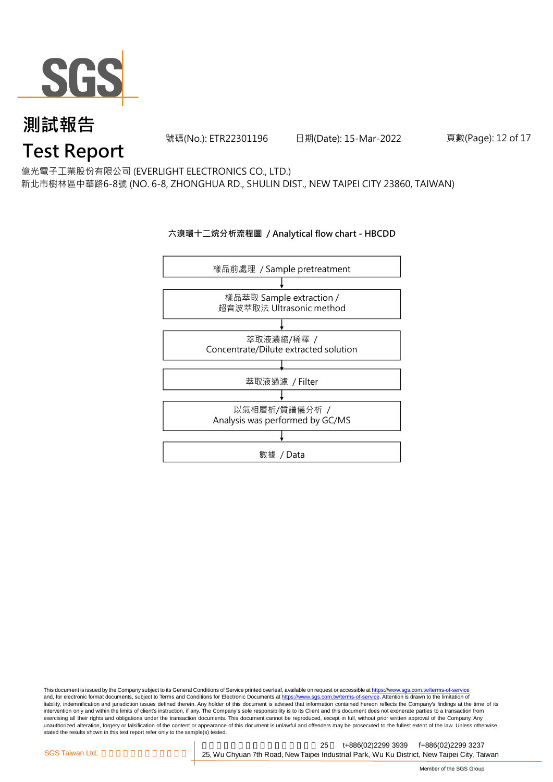

號碼(No.): ETR22301196 日期(Date): 15-Mar-2022

#### 頁數(Page): 12 of 17

億光電子工業股份有限公司 (EVERLIGHT ELECTRONICS CO., LTD.)

新北市樹林區中華路6-8號 (NO. 6-8, ZHONGHUA RD., SHULIN DIST., NEW TAIPEI CITY 23860, TAIWAN)

#### **六溴環十二烷分析流程圖 / Analytical flow chart - HBCDD**



This document is issued by the Company subject to its General Conditions of Service printed overleaf, available on request or accessible at <u>https://www.sgs.com.tw/terms-of-service</u><br>and, for electronic format documents, su liability, indemnification and jurisdiction issues defined therein. Any holder of this document is advised that information contained hereon reflects the Company's findings at the time of its intervention only and within the limits of client's instruction, if any. The Company's sole responsibility is to its Client and this document does not exonerate parties to a transaction from exercising all their rights and obligations under the transaction documents. This document cannot be reproduced, except in full, without prior written approval of the Company. Any<br>unauthorized alteration, forgery or falsif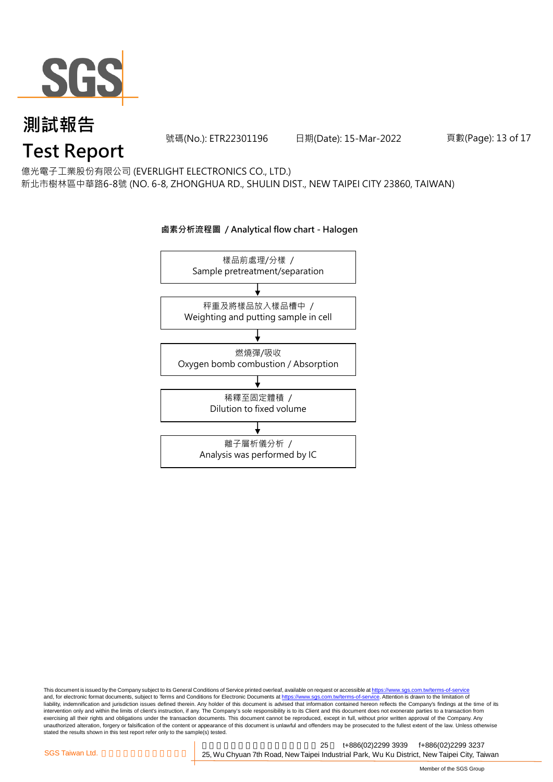

號碼(No.): ETR22301196 日期(Date): 15-Mar-2022

頁數(Page): 13 of 17

億光電子工業股份有限公司 (EVERLIGHT ELECTRONICS CO., LTD.)

新北市樹林區中華路6-8號 (NO. 6-8, ZHONGHUA RD., SHULIN DIST., NEW TAIPEI CITY 23860, TAIWAN)



#### **鹵素分析流程圖 / Analytical flow chart - Halogen**

This document is issued by the Company subject to its General Conditions of Service printed overleaf, available on request or accessible at <u>https://www.sgs.com.tw/terms-of-service</u><br>and, for electronic format documents, su liability, indemnification and jurisdiction issues defined therein. Any holder of this document is advised that information contained hereon reflects the Company's findings at the time of its intervention only and within the limits of client's instruction, if any. The Company's sole responsibility is to its Client and this document does not exonerate parties to a transaction from exercising all their rights and obligations under the transaction documents. This document cannot be reproduced, except in full, without prior written approval of the Company. Any<br>unauthorized alteration, forgery or falsif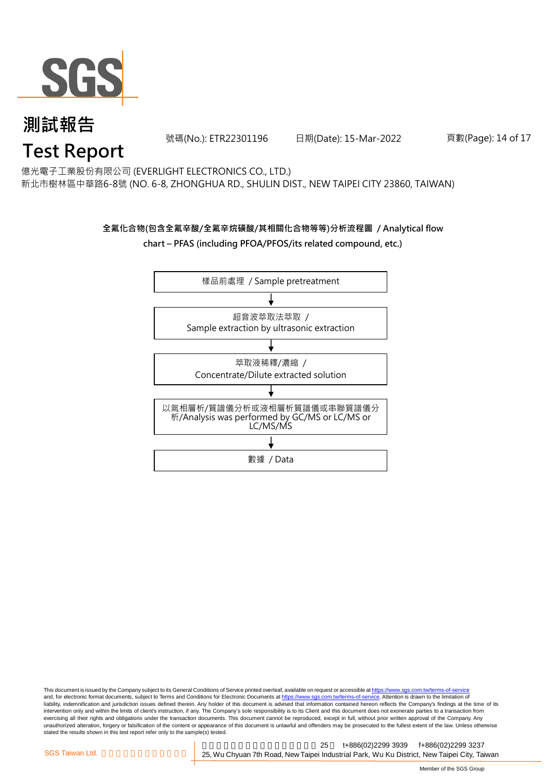

號碼(No.): ETR22301196 日期(Date): 15-Mar-2022

頁數(Page): 14 of 17

## **Test Report**

新北市樹林區中華路6-8號 (NO. 6-8, ZHONGHUA RD., SHULIN DIST., NEW TAIPEI CITY 23860, TAIWAN) 億光電子工業股份有限公司 (EVERLIGHT ELECTRONICS CO., LTD.)

#### **全氟化合物(包含全氟辛酸/全氟辛烷磺酸/其相關化合物等等)分析流程圖 / Analytical flow chart – PFAS (including PFOA/PFOS/its related compound, etc.)**



This document is issued by the Company subject to its General Conditions of Service printed overleaf, available on request or accessible at https://www.sgs.com.tw/terms-of-service and, for electronic format documents, subject to Terms and Conditions for Electronic Documents at https://www.sgs.com.tw/terms-of-service. Attention is drawn to the limitation of liability, indemnification and jurisdiction issues defined therein. Any holder of this document is advised that information contained hereon reflects the Company's findings at the time of its intervention only and within the limits of client's instruction, if any. The Company's sole responsibility is to its Client and this document does not exonerate parties to a transaction from exercising all their rights and obligations under the transaction documents. This document cannot be reproduced, except in full, without prior written approval of the Company. Any<br>unauthorized alteration, forgery or falsif stated the results shown in this test report refer only to the sample(s) tested.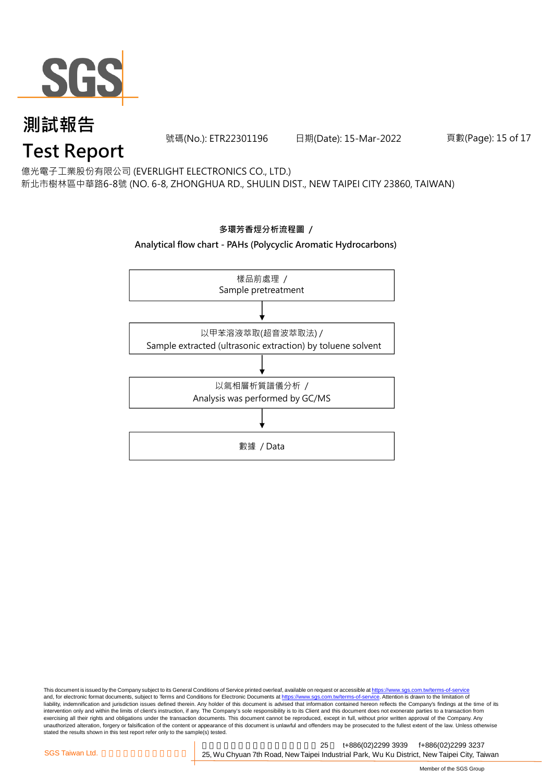

號碼(No.): ETR22301196 日期(Date): 15-Mar-2022

頁數(Page): 15 of 17

億光電子工業股份有限公司 (EVERLIGHT ELECTRONICS CO., LTD.)

新北市樹林區中華路6-8號 (NO. 6-8, ZHONGHUA RD., SHULIN DIST., NEW TAIPEI CITY 23860, TAIWAN)



This document is issued by the Company subject to its General Conditions of Service printed overleaf, available on request or accessible at <u>https://www.sgs.com.tw/terms-of-service</u><br>and, for electronic format documents, su liability, indemnification and jurisdiction issues defined therein. Any holder of this document is advised that information contained hereon reflects the Company's findings at the time of its intervention only and within the limits of client's instruction, if any. The Company's sole responsibility is to its Client and this document does not exonerate parties to a transaction from exercising all their rights and obligations under the transaction documents. This document cannot be reproduced, except in full, without prior written approval of the Company. Any<br>unauthorized alteration, forgery or falsif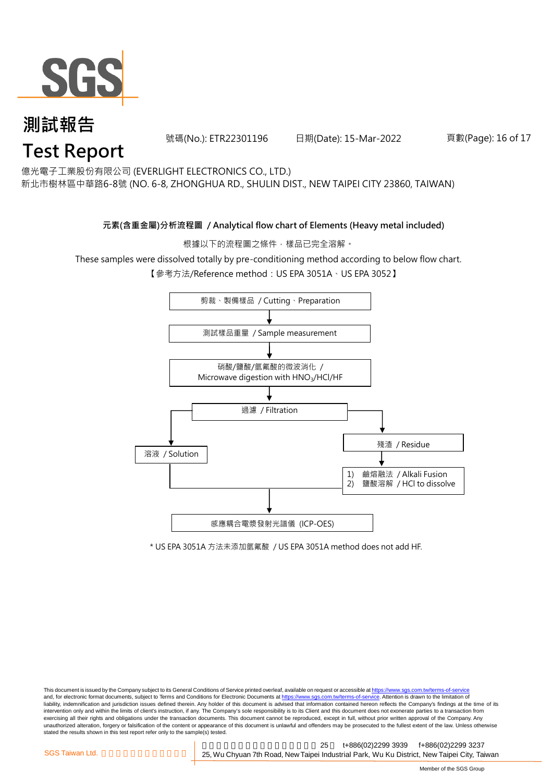![](_page_15_Picture_0.jpeg)

號碼(No.): ETR22301196 日期(Date): 15-Mar-2022

#### 頁數(Page): 16 of 17

億光電子工業股份有限公司 (EVERLIGHT ELECTRONICS CO., LTD.)

新北市樹林區中華路6-8號 (NO. 6-8, ZHONGHUA RD., SHULIN DIST., NEW TAIPEI CITY 23860, TAIWAN)

#### **元素(含重金屬)分析流程圖 / Analytical flow chart of Elements (Heavy metal included)**

根據以下的流程圖之條件,樣品已完全溶解。

These samples were dissolved totally by pre-conditioning method according to below flow chart.

【參考方法/Reference method:US EPA 3051A、US EPA 3052】

![](_page_15_Figure_11.jpeg)

\* US EPA 3051A 方法未添加氫氟酸 / US EPA 3051A method does not add HF.

This document is issued by the Company subject to its General Conditions of Service printed overleaf, available on request or accessible at https://www.sgs.com.tw/terms-of-service and, for electronic format documents, subject to Terms and Conditions for Electronic Documents at https://www.sgs.com.tw/terms-of-service. Attention is drawn to the limitation of liability, indemnification and jurisdiction issues defined therein. Any holder of this document is advised that information contained hereon reflects the Company's findings at the time of its intervention only and within the limits of client's instruction, if any. The Company's sole responsibility is to its Client and this document does not exonerate parties to a transaction from exercising all their rights and obligations under the transaction documents. This document cannot be reproduced, except in full, without prior written approval of the Company. Any<br>unauthorized alteration, forgery or falsif stated the results shown in this test report refer only to the sample(s) tested.